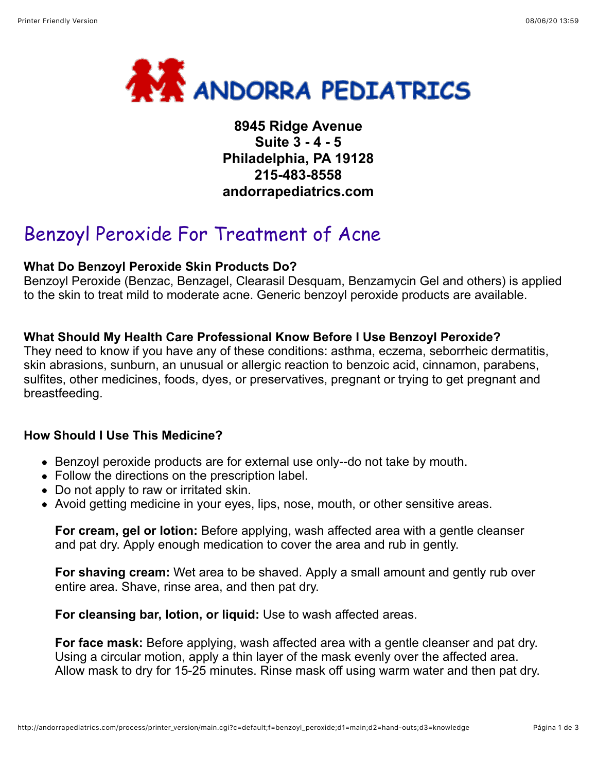

**8945 Ridge Avenue Suite 3 - 4 - 5 Philadelphia, PA 19128 215-483-8558 andorrapediatrics.com**

# Benzoyl Peroxide For Treatment of Acne

## **What Do Benzoyl Peroxide Skin Products Do?**

Benzoyl Peroxide (Benzac, Benzagel, Clearasil Desquam, Benzamycin Gel and others) is applied to the skin to treat mild to moderate acne. Generic benzoyl peroxide products are available.

## **What Should My Health Care Professional Know Before I Use Benzoyl Peroxide?**

They need to know if you have any of these conditions: asthma, eczema, seborrheic dermatitis, skin abrasions, sunburn, an unusual or allergic reaction to benzoic acid, cinnamon, parabens, sulfites, other medicines, foods, dyes, or preservatives, pregnant or trying to get pregnant and breastfeeding.

# **How Should I Use This Medicine?**

- Benzoyl peroxide products are for external use only--do not take by mouth.
- Follow the directions on the prescription label.
- Do not apply to raw or irritated skin.
- Avoid getting medicine in your eyes, lips, nose, mouth, or other sensitive areas.

**For cream, gel or lotion:** Before applying, wash affected area with a gentle cleanser and pat dry. Apply enough medication to cover the area and rub in gently.

**For shaving cream:** Wet area to be shaved. Apply a small amount and gently rub over entire area. Shave, rinse area, and then pat dry.

**For cleansing bar, lotion, or liquid:** Use to wash affected areas.

**For face mask:** Before applying, wash affected area with a gentle cleanser and pat dry. Using a circular motion, apply a thin layer of the mask evenly over the affected area. Allow mask to dry for 15-25 minutes. Rinse mask off using warm water and then pat dry.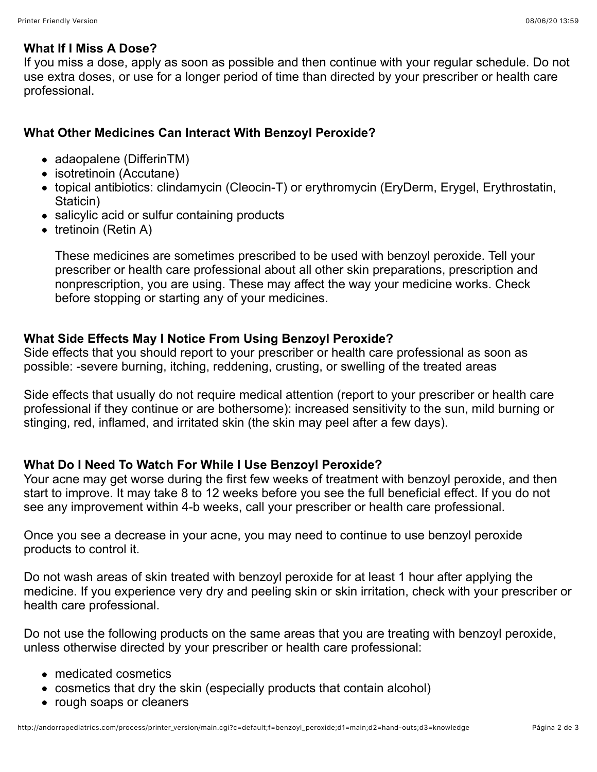#### **What If I Miss A Dose?**

If you miss a dose, apply as soon as possible and then continue with your regular schedule. Do not use extra doses, or use for a longer period of time than directed by your prescriber or health care professional.

# **What Other Medicines Can Interact With Benzoyl Peroxide?**

- adaopalene (DifferinTM)
- isotretinoin (Accutane)
- topical antibiotics: clindamycin (Cleocin-T) or erythromycin (EryDerm, Erygel, Erythrostatin, Staticin)
- salicylic acid or sulfur containing products
- $\bullet$  tretinoin (Retin A)

These medicines are sometimes prescribed to be used with benzoyl peroxide. Tell your prescriber or health care professional about all other skin preparations, prescription and nonprescription, you are using. These may affect the way your medicine works. Check before stopping or starting any of your medicines.

# **What Side Effects May I Notice From Using Benzoyl Peroxide?**

Side effects that you should report to your prescriber or health care professional as soon as possible: -severe burning, itching, reddening, crusting, or swelling of the treated areas

Side effects that usually do not require medical attention (report to your prescriber or health care professional if they continue or are bothersome): increased sensitivity to the sun, mild burning or stinging, red, inflamed, and irritated skin (the skin may peel after a few days).

# **What Do I Need To Watch For While I Use Benzoyl Peroxide?**

Your acne may get worse during the first few weeks of treatment with benzoyl peroxide, and then start to improve. It may take 8 to 12 weeks before you see the full beneficial effect. If you do not see any improvement within 4-b weeks, call your prescriber or health care professional.

Once you see a decrease in your acne, you may need to continue to use benzoyl peroxide products to control it.

Do not wash areas of skin treated with benzoyl peroxide for at least 1 hour after applying the medicine. If you experience very dry and peeling skin or skin irritation, check with your prescriber or health care professional.

Do not use the following products on the same areas that you are treating with benzoyl peroxide, unless otherwise directed by your prescriber or health care professional:

- medicated cosmetics
- cosmetics that dry the skin (especially products that contain alcohol)
- rough soaps or cleaners